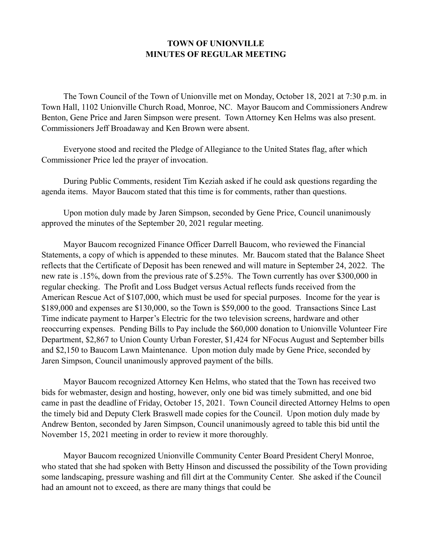## **TOWN OF UNIONVILLE MINUTES OF REGULAR MEETING**

 The Town Council of the Town of Unionville met on Monday, October 18, 2021 at 7:30 p.m. in Town Hall, 1102 Unionville Church Road, Monroe, NC. Mayor Baucom and Commissioners Andrew Benton, Gene Price and Jaren Simpson were present. Town Attorney Ken Helms was also present. Commissioners Jeff Broadaway and Ken Brown were absent.

 Everyone stood and recited the Pledge of Allegiance to the United States flag, after which Commissioner Price led the prayer of invocation.

 During Public Comments, resident Tim Keziah asked if he could ask questions regarding the agenda items. Mayor Baucom stated that this time is for comments, rather than questions.

 Upon motion duly made by Jaren Simpson, seconded by Gene Price, Council unanimously approved the minutes of the September 20, 2021 regular meeting.

 Mayor Baucom recognized Finance Officer Darrell Baucom, who reviewed the Financial Statements, a copy of which is appended to these minutes. Mr. Baucom stated that the Balance Sheet reflects that the Certificate of Deposit has been renewed and will mature in September 24, 2022. The new rate is .15%, down from the previous rate of \$.25%. The Town currently has over \$300,000 in regular checking. The Profit and Loss Budget versus Actual reflects funds received from the American Rescue Act of \$107,000, which must be used for special purposes. Income for the year is \$189,000 and expenses are \$130,000, so the Town is \$59,000 to the good. Transactions Since Last Time indicate payment to Harper's Electric for the two television screens, hardware and other reoccurring expenses. Pending Bills to Pay include the \$60,000 donation to Unionville Volunteer Fire Department, \$2,867 to Union County Urban Forester, \$1,424 for NFocus August and September bills and \$2,150 to Baucom Lawn Maintenance. Upon motion duly made by Gene Price, seconded by Jaren Simpson, Council unanimously approved payment of the bills.

 Mayor Baucom recognized Attorney Ken Helms, who stated that the Town has received two bids for webmaster, design and hosting, however, only one bid was timely submitted, and one bid came in past the deadline of Friday, October 15, 2021. Town Council directed Attorney Helms to open the timely bid and Deputy Clerk Braswell made copies for the Council. Upon motion duly made by Andrew Benton, seconded by Jaren Simpson, Council unanimously agreed to table this bid until the November 15, 2021 meeting in order to review it more thoroughly.

 Mayor Baucom recognized Unionville Community Center Board President Cheryl Monroe, who stated that she had spoken with Betty Hinson and discussed the possibility of the Town providing some landscaping, pressure washing and fill dirt at the Community Center. She asked if the Council had an amount not to exceed, as there are many things that could be